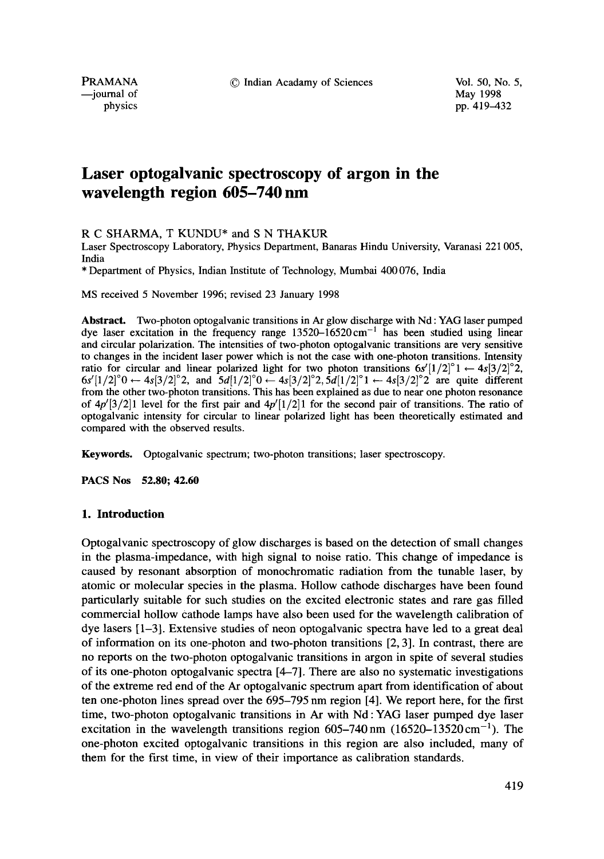PRAMANA © Indian Acadamy of Sciences Vol. 50, No. 5,

-journal of

physics pp. 419–432

# **Laser optogalvanic spectroscopy of argon in the wavelength region 605-740 nm**

R C SHARMA, T KUNDU\* and S N THAKUR

Laser Spectroscopy Laboratory, Physics Department, Banaras Hindu University, Varanasi 221 005, India

\* Department of Physics, Indian Institute of Technology, Mumbai 400 076, India

MS received 5 November 1996; revised 23 January 1998

**Abstract.** Two-photon optogalvanic transitions in Ar glow discharge with Nd : YAG laser pumped dye laser excitation in the frequency range  $13520-\overline{16520}$  cm<sup>-1</sup> has been studied using linear and circular polarization. The intensities of two-photon optogalvanic transitions are very sensitive to changes in the incident laser power which is not the case with one-photon transitions. Intensity ratio for circular and linear polarized light for two photon transitions  $6s'[1/2]^{\circ}1 \leftarrow 4s[3/2]^{\circ}2$ ,  $6s'[1/2]^{\circ}0 \leftarrow 4s[3/2]^{\circ}2$ , and  $5d[1/2]^{\circ}0 \leftarrow 4s[3/2]^{\circ}2, 5d[1/2]^{\circ}1 \leftarrow 4s[3/2]^{\circ}2$  are quite different from the other two-photon transitions. This has been explained as due to near one photon resonance of  $4p'[3/2]$  level for the first pair and  $4p'[1/2]$  for the second pair of transitions. The ratio of optogalvanic intensity for circular to linear polarized light has been theoretically estimated and compared with the observed results.

Keywords. Optogalvanic spectrum; two-photon transitions; laser spectroscopy.

**PACS Nos 52.80; 42.60** 

## **1. Introduction**

Optogalvanic spectroscopy of glow discharges is based on the detection of small changes in the plasma-impedance, with high signal to noise ratio. This change of impedance is caused by resonant absorption of monochromatic radiation from the tunable laser, by atomic or molecular species in the plasma. Hollow cathode discharges have been found particularly suitable for such studies on the excited electronic states and rare gas filled commercial hollow cathode lamps have also been used for the wavelength calibration of dye lasers [1-3]. Extensive studies of neon optogalvanic spectra have led to a great deal of information on its one-photon and two-photon transitions [2, 3]. In contrast, there are no reports on the two-photon optogalvanic transitions in argon in spite of several studies of its one-photon optogalvanic spectra [4-7]. There are also no systematic investigations of the extreme red end of the Ar optogalvanic spectrum apart from identification of about ten one-photon lines spread over the 695-795 nm region [4]. We report here, for the first time, two-photon optogalvanic transitions in Ar with Nd:YAG laser pumped dye laser excitation in the wavelength transitions region  $605-740$  nm  $(16520-13520 \text{ cm}^{-1})$ . The one-photon excited optogalvanic transitions in this region are also included, many of them for the first time, in view of their importance as calibration standards.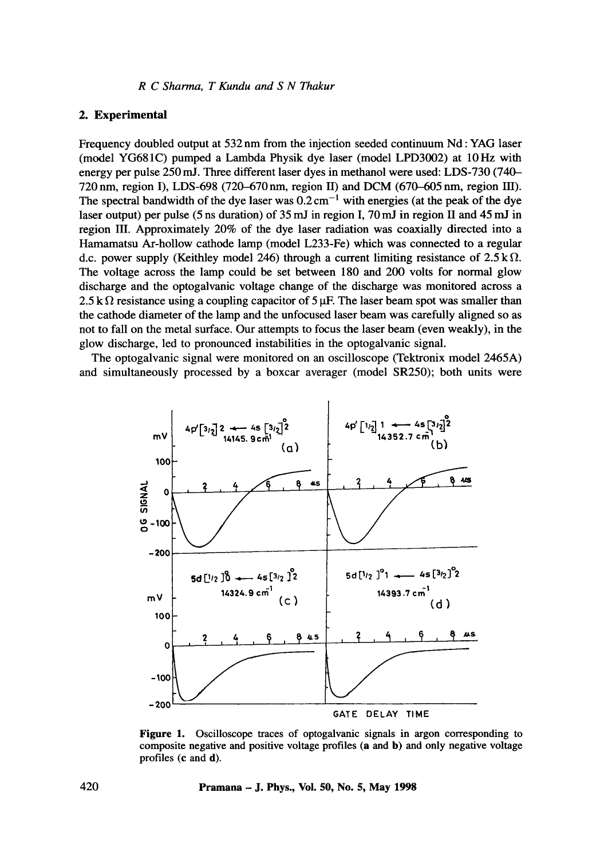*R C Sharma, T Kundu and S N Thakur* 

## **2. Experimental**

Frequency doubled output at 532 nm from the injection seeded continuum Nd : YAG laser (model YG681C) pumped a Lambda Physik dye laser (model LPD3002) at 10 Hz with energy per pulse 250 mJ. Three different laser dyes in methanol were used: LDS-730 (740- 720 nm, region I), LDS-698 (720-670 nm, region II) and DCM (670-605 nm, region HI). The spectral bandwidth of the dye laser was  $0.2 \text{ cm}^{-1}$  with energies (at the peak of the dye laser output) per pulse (5 ns duration) of 35 mJ in region I, 70 mJ in region II and 45 mJ in region III. Approximately 20% of the dye laser radiation was coaxially directed into a Hamamatsu At-hollow cathode lamp (model L233-Fe) which was connected to a regular d.c. power supply (Keithley model 246) through a current limiting resistance of  $2.5 \text{ k }\Omega$ . The voltage across the lamp could be set between 180 and 200 volts for normal glow discharge and the optogalvanic voltage change of the discharge was monitored across a 2.5 k  $\Omega$  resistance using a coupling capacitor of 5  $\mu$ F. The laser beam spot was smaller than the cathode diameter of the lamp and the unfocused laser beam was carefully aligned so as not to fall on the metal surface. Our attempts to focus the laser beam (even weakly), in the glow discharge, led to pronounced instabilities in the optogalvanic signal.

The optogalvanic signal were monitored on an oscilloscope (Tektronix model 2465A) and simultaneously processed by a boxcar averager (model SR250); both units were



Figure 1. Oscilloscope traces of optogalvanic signals in argon corresponding to composite negative and positive voltage profiles (a and b) and only negative voltage profiles (c and d).

**420 Pramana - J. Phys., Vol. 50, No. 5, May 1998**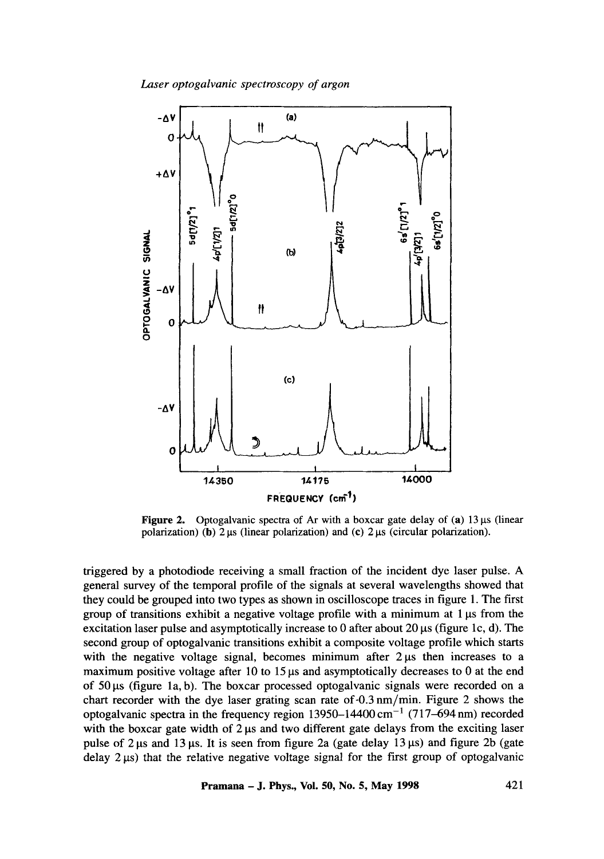*Laser optogalvanic spectroscopy of argon* 



**Figure 2.** Optogalvanic spectra of Ar with a boxcar gate delay of  $(a)$  13  $\mu$ s (linear polarization) (b)  $2 \mu s$  (linear polarization) and (c)  $2 \mu s$  (circular polarization).

triggered by a photodiode receiving a small fraction of the incident dye laser pulse. A general survey of the temporal profile of the signals at several wavelengths showed that they could be grouped into two types as shown in oscilloscope traces in figure 1. The first group of transitions exhibit a negative voltage profile with a minimum at  $1 \mu s$  from the excitation laser pulse and asymptotically increase to 0 after about 20  $\mu$ s (figure 1c, d). The second group of optogalvanic transitions exhibit a composite voltage profile which starts with the negative voltage signal, becomes minimum after  $2 \mu s$  then increases to a maximum positive voltage after 10 to 15  $\mu$ s and asymptotically decreases to 0 at the end of  $50 \mu s$  (figure 1a, b). The boxcar processed optogalvanic signals were recorded on a chart recorder with the dye laser grating scan rate of-0.3 nm/min. Figure 2 shows the optogalvanic spectra in the frequency region  $13950-14400 \text{ cm}^{-1}$  (717-694 nm) recorded with the boxcar gate width of  $2 \mu s$  and two different gate delays from the exciting laser pulse of 2  $\mu$ s and 13  $\mu$ s. It is seen from figure 2a (gate delay 13  $\mu$ s) and figure 2b (gate delay  $2 \mu s$ ) that the relative negative voltage signal for the first group of optogalvanic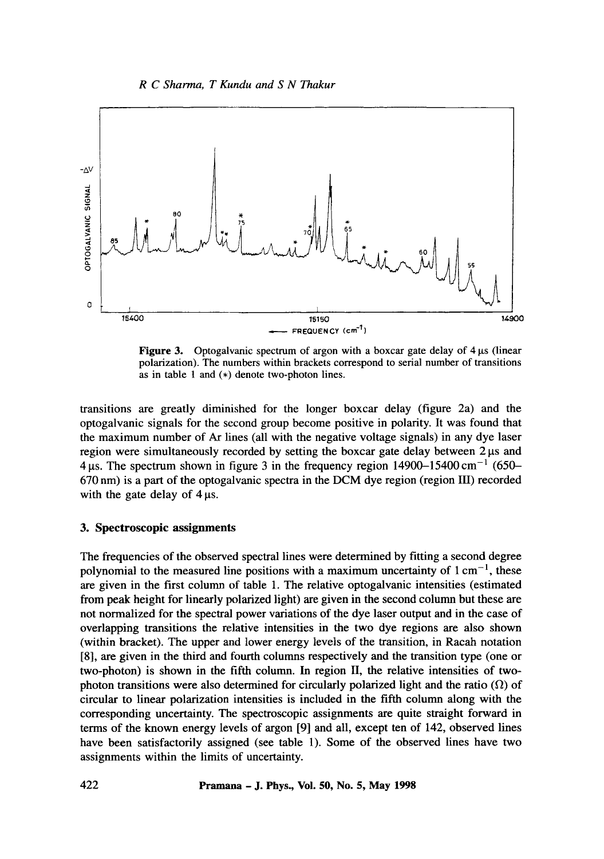## *R C Sharma, T Kundu and S N Thakur*



**Figure 3.** Optogalvanic spectrum of argon with a boxcar gate delay of  $4 \mu s$  (linear polarization). The numbers within brackets correspond to serial number of transitions as in table l and (\*) denote two-photon lines.

transitions are greatly diminished for the longer boxcar delay (figure 2a) and the optogalvanic signals for the second group become positive in polarity. It was found that the maximum number of Ar lines (all with the negative voltage signals) in any dye laser region were simultaneously recorded by setting the boxcar gate delay between 2  $\mu$ s and 4  $\mu$ s. The spectrum shown in figure 3 in the frequency region 14900-15400 cm<sup>-1</sup> (650-670 nm) is a part of the optogalvanic spectra in the DCM dye region (region III) recorded with the gate delay of  $4 \mu s$ .

## **3. Spectroscopic assignments**

The frequencies of the observed spectral lines were determined by fitting a second degree polynomial to the measured line positions with a maximum uncertainty of  $1 \text{ cm}^{-1}$ , these are given in the first column of table 1. The relative optogalvanic intensities (estimated from peak height for linearly polarized light) are given in the second column but these are not normalized for the spectral power variations of the dye laser output and in the case of overlapping transitions the relative intensities in the two dye regions are also shown (within bracket). The upper and lower energy levels of the transition, in Racah notation [8], are given in the third and fourth columns respectively and the transition type (one or two-photon) is shown in the fifth column. In region II, the relative intensities of twophoton transitions were also determined for circularly polarized light and the ratio  $(\Omega)$  of circular to linear polarization intensities is included in the fifth column along with the corresponding uncertainty. The spectroscopic assignments are quite straight forward in terms of the known energy levels of argon [9] and all, except ten of 142, observed lines have been satisfactorily assigned (see table 1). Some of the observed lines have two assignments within the limits of uncertainty.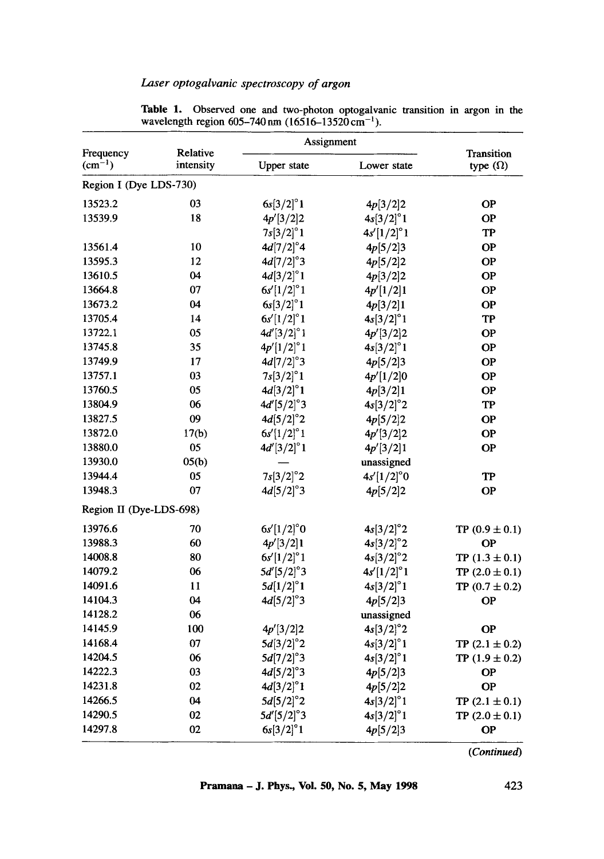## *Laser optogalvanic spectroscopy of argon*

| Frequency               | Relative<br>intensity | Assignment          |                     |                                      |
|-------------------------|-----------------------|---------------------|---------------------|--------------------------------------|
| $\text{(cm}^{-1})$      |                       | Upper state         | Lower state         | <b>Transition</b><br>type $(\Omega)$ |
| Region I (Dye LDS-730)  |                       |                     |                     |                                      |
| 13523.2                 | 03                    | $6s[3/2]^{\circ}1$  | 4p[3/2]2            | <b>OP</b>                            |
| 13539.9                 | 18                    | 4p'[3/2]2           | $4s[3/2]^{\circ}1$  | <b>OP</b>                            |
|                         |                       | $7s[3/2]^{\circ}1$  | $4s'[1/2]^{\circ}1$ | TP                                   |
| 13561.4                 | 10                    | $4d[7/2]^{\circ}4$  | 4p[5/2]3            | ОP                                   |
| 13595.3                 | 12                    | $4d[7/2]^{\circ}3$  | 4p[5/2]2            | <b>OP</b>                            |
| 13610.5                 | 04                    | $4d[3/2]^{\circ}1$  | 4p[3/2]2            | <b>OP</b>                            |
| 13664.8                 | 07                    | $6s'[1/2]^{\circ}1$ | 4p'[1/2]1           | <b>OP</b>                            |
| 13673.2                 | 04                    | $6s[3/2]^{\circ}1$  | 4p[3/2]1            | ΟP                                   |
| 13705.4                 | 14                    | $6s'[1/2]^{\circ}1$ | $4s[3/2]^{\circ}1$  | <b>TP</b>                            |
| 13722.1                 | 05                    | $4d'[3/2]^{\circ}1$ | 4p'[3/2]2           | <b>OP</b>                            |
| 13745.8                 | 35                    | $4p'[1/2]^{\circ}1$ | $4s[3/2]^{\circ}1$  | <b>OP</b>                            |
| 13749.9                 | 17                    | $4d[7/2]^{\circ}3$  | 4p[5/2]3            | <b>OP</b>                            |
| 13757.1                 | 03                    | $7s[3/2]^{\circ}1$  | 4p'[1/2]0           | <b>OP</b>                            |
| 13760.5                 | 05                    | $4d[3/2]^{\circ}1$  | 4p[3/2]1            | <b>OP</b>                            |
| 13804.9                 | 06                    | $4d'[5/2]^{\circ}3$ | $4s[3/2]^{\circ}2$  | TP                                   |
| 13827.5                 | 09                    | $4d[5/2]^{\circ}2$  | 4p[5/2]2            | <b>OP</b>                            |
| 13872.0                 | 17(b)                 | $6s'[1/2]^{\circ}1$ | $4p'$ [3/2]2        | <b>OP</b>                            |
| 13880.0                 | 05                    | $4d'[3/2]^{\circ}1$ | 4p'[3/2]1           | <b>OP</b>                            |
| 13930.0                 | 05(b)                 |                     | unassigned          |                                      |
| 13944.4                 | 05                    | $7s[3/2]^{\circ}2$  | $4s'[1/2]^{\circ}0$ | TP                                   |
| 13948.3                 | 07                    | $4d[5/2]^{\circ}3$  | 4p[5/2]2            | OP                                   |
| Region II (Dye-LDS-698) |                       |                     |                     |                                      |
| 13976.6                 | 70                    | $6s'[1/2]^{\circ}0$ | $4s[3/2]^{\circ}2$  | TP $(0.9 \pm 0.1)$                   |
| 13988.3                 | 60                    | 4p'[3/2]1           | $4s[3/2]^{\circ}2$  | <b>OP</b>                            |
| 14008.8                 | 80                    | $6s'[1/2]^{\circ}1$ | $4s[3/2]^{\circ}2$  | TP $(1.3 \pm 0.1)$                   |
| 14079.2                 | 06                    | $5d'[5/2]^{\circ}3$ | $4s'[1/2]^{\circ}1$ | TP $(2.0 \pm 0.1)$                   |
| 14091.6                 | 11                    | $5d[1/2]^{\circ}1$  | $4s[3/2]^{\circ}1$  | TP $(0.7 \pm 0.2)$                   |
| 14104.3                 | 04                    | $4d[5/2]^{\circ}3$  | 4p[5/2]3            | <b>OP</b>                            |
| 14128.2                 | 06                    |                     | unassigned          |                                      |
| 14145.9                 | 100                   | 4p'[3/2]2           | $4s[3/2]^{\circ}2$  | <b>OP</b>                            |
| 14168.4                 | 07                    | $5d[3/2]^{\circ}2$  | $4s[3/2]^{\circ}1$  | TP $(2.1 \pm 0.2)$                   |
| 14204.5                 | 06                    | $5d[7/2]^{\circ}3$  | $4s[3/2]^{\circ}1$  | TP $(1.9 \pm 0.2)$                   |
| 14222.3                 | 03                    | $4d[5/2]^{\circ}3$  | 4p[5/2]3            | <b>OP</b>                            |
| 14231.8                 | 02                    | $4d[3/2]^{\circ}1$  | 4p[5/2]2            | <b>OP</b>                            |
| 14266.5                 | 04                    | $5d[5/2]^{\circ}2$  | $4s[3/2]^{\circ}1$  | TP $(2.1 \pm 0.1)$                   |
| 14290.5                 | 02                    | $5d'[5/2]^{\circ}3$ | $4s[3/2]^{\circ}1$  | TP $(2.0 \pm 0.1)$                   |
| 14297.8                 | 02                    | $6s[3/2]^{\circ}1$  | 4p[5/2]3            | <b>OP</b>                            |

Table 1. Observed one and two-photon optogalvanic transition in argon in the wavelength region  $605-740$  nm  $(16516-13520 \text{ cm}^{-1})$ .

*(Continued)*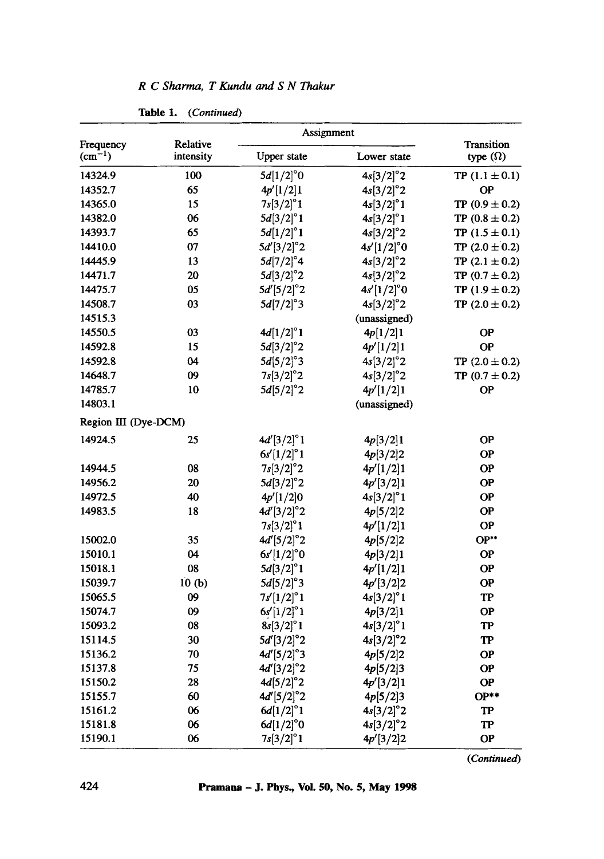| Frequency<br>$(cm^{-1})$ | Relative<br>intensity | Assignment          |                     |                               |
|--------------------------|-----------------------|---------------------|---------------------|-------------------------------|
|                          |                       | <b>Upper</b> state  | Lower state         | Transition<br>type $(\Omega)$ |
| 14324.9                  | 100                   | $5d[1/2]^{\circ}0$  | $4s[3/2]^{\circ}2$  | TP $(1.1 \pm 0.1)$            |
| 14352.7                  | 65                    | 4p'[1/2]1           | $4s[3/2]^{\circ}2$  | <b>OP</b>                     |
| 14365.0                  | 15                    | $7s[3/2]^{\circ}1$  | $4s[3/2]^{\circ}1$  | TP $(0.9 \pm 0.2)$            |
| 14382.0                  | 06                    | $5d[3/2]^{\circ}1$  | $4s[3/2]^{\circ}1$  | TP $(0.8 \pm 0.2)$            |
| 14393.7                  | 65                    | $5d[1/2]^{\circ}1$  | $4s[3/2]^{\circ}2$  | TP $(1.5 \pm 0.1)$            |
| 14410.0                  | 07                    | $5d'[3/2]^{\circ}2$ | $4s'[1/2]^{\circ}0$ | TP $(2.0 \pm 0.2)$            |
| 14445.9                  | 13                    | $5d[7/2]^{\circ}4$  | $4s[3/2]^{\circ}2$  | TP $(2.1 \pm 0.2)$            |
| 14471.7                  | 20                    | $5d[3/2]^{\circ}2$  | $4s[3/2]^{\circ}2$  | TP $(0.7 \pm 0.2)$            |
| 14475.7                  | 05                    | $5d'[5/2]^{\circ}2$ | $4s'[1/2]^{\circ}0$ | TP $(1.9 \pm 0.2)$            |
| 14508.7                  | 03                    | $5d[7/2]^{\circ}3$  | $4s[3/2]^{\circ}2$  | TP $(2.0 \pm 0.2)$            |
| 14515.3                  |                       |                     | (unassigned)        |                               |
| 14550.5                  | 03                    | $4d[1/2]^{\circ}1$  | 4p[1/2]1            | <b>OP</b>                     |
| 14592.8                  | 15                    | $5d[3/2]^{\circ}2$  | 4p'[1/2]1           | <b>OP</b>                     |
| 14592.8                  | 04                    | $5d[5/2]^{\circ}3$  | $4s[3/2]^{\circ}2$  | TP $(2.0 \pm 0.2)$            |
| 14648.7                  | 09                    | $7s[3/2]^{\circ}2$  | $4s[3/2]^{\circ}2$  | TP $(0.7 \pm 0.2)$            |
| 14785.7                  | 10                    | $5d[5/2]^{\circ}2$  | 4p'[1/2]1           | <b>OP</b>                     |
| 14803.1                  |                       |                     | (unassigned)        |                               |
| Region III (Dye-DCM)     |                       |                     |                     |                               |
| 14924.5                  | 25                    | $4d'[3/2]^{\circ}1$ | 4p[3/2]1            | <b>OP</b>                     |
|                          |                       | $6s'[1/2]^{\circ}1$ | 4p[3/2]2            | <b>OP</b>                     |
| 14944.5                  | 08                    | $7s[3/2]^{\circ}2$  | 4p'[1/2]1           | <b>OP</b>                     |
| 14956.2                  | 20                    | $5d[3/2]^{\circ}2$  | 4p'[3/2]1           | <b>OP</b>                     |
| 14972.5                  | 40                    | 4p'[1/2]0           | $4s[3/2]^{\circ}1$  | <b>OP</b>                     |
| 14983.5                  | 18                    | $4d'[3/2]^{\circ}2$ | 4p[5/2]2            | <b>OP</b>                     |
|                          |                       | $7s[3/2]^{\circ}1$  | 4p'[1/2]1           | <b>OP</b>                     |
| 15002.0                  | 35                    | $4d'[5/2]^{\circ}2$ | 4p[5/2]2            | $OP**$                        |
| 15010.1                  | 04                    | $6s'[1/2]^{\circ}0$ | 4p[3/2]1            | <b>OP</b>                     |
| 15018.1                  | 08                    | $5d[3/2]^{\circ}1$  | 4p'[1/2]1           | <b>OP</b>                     |
| 15039.7                  | 10(b)                 | $5d[5/2]^{\circ}3$  | 4p'[3/2]2           | <b>OP</b>                     |
| 15065.5                  | 09                    | $7s'[1/2]^{\circ}1$ | $4s[3/2]^{\circ}1$  | TP                            |
| 15074.7                  | 09                    | $6s'[1/2]^{\circ}1$ | 4p[3/2]1            | <b>OP</b>                     |
| 15093.2                  | 08                    | $8s[3/2]^{\circ}1$  | $4s[3/2]^{\circ}1$  | TP                            |
| 15114.5                  | 30                    | $5d'[3/2]^{\circ}2$ | $4s[3/2]^{\circ}2$  | <b>TP</b>                     |
| 15136.2                  | 70                    | $4d'[5/2]^{\circ}3$ | 4p[5/2]2            | OP                            |
| 15137.8                  | 75                    | $4d'[3/2]^{\circ}2$ | 4p[5/2]3            | ОP                            |
| 15150.2                  | 28                    | $4d[5/2]^{\circ}2$  | 4p'[3/2]1           | <b>OP</b>                     |
| 15155.7                  | 60                    | $4d'[5/2]^{\circ}2$ | 4p[5/2]3            | $OP**$                        |
| 15161.2                  | 06                    | $6d[1/2]^{\circ}1$  | $4s[3/2]^{\circ}2$  | TP                            |
| 15181.8                  | 06                    | $6d[1/2]^{\circ}0$  | $4s[3/2]^{\circ}2$  | TP                            |
| 15190.1                  | 06                    | $7s[3/2]^{\circ}1$  | 4p'[3/2]2           | <b>OP</b>                     |

*R C Sharma, T Kundu and S N Thakur* 

Table I. *(Continued)* 

*(Continued)*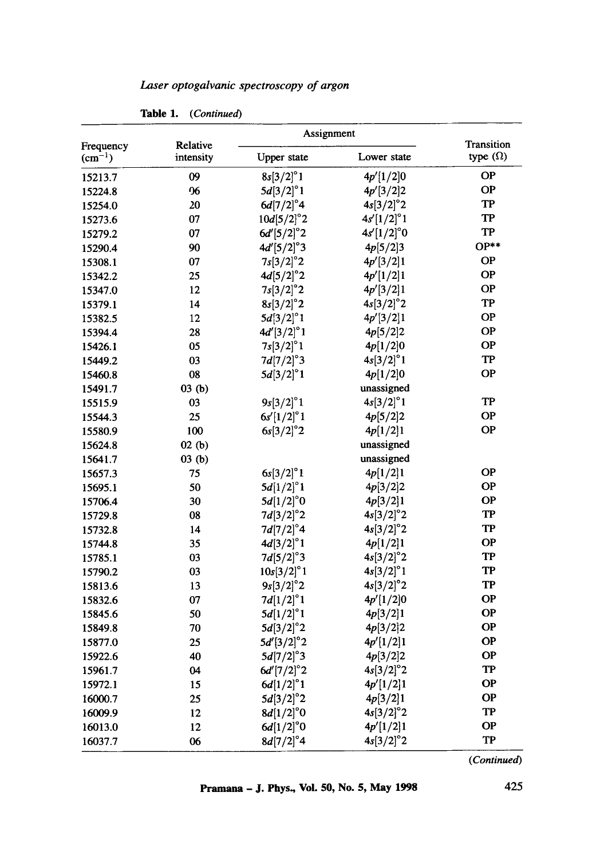| Laser optogalvanic spectroscopy of argon |  |  |
|------------------------------------------|--|--|
|                                          |  |  |

|                          | Relative  | Assignment          | Transition          |                        |
|--------------------------|-----------|---------------------|---------------------|------------------------|
| Frequency<br>$(cm^{-1})$ | intensity | <b>Upper</b> state  | Lower state         | type $(\Omega)$        |
| 15213.7                  | 09        | $8s[3/2]^{\circ}1$  | 4p' 1/2 0           | <b>OP</b>              |
| 15224.8                  | 06        | $5d[3/2]^{\circ}1$  | 4p'[3/2]2           | <b>OP</b>              |
| 15254.0                  | 20        | $6d[7/2]^{\circ}4$  | $4s[3/2]^{\circ}2$  | <b>TP</b>              |
| 15273.6                  | 07        | $10d[5/2]^{\circ}2$ | $4s'[1/2]^{\circ}1$ | TP                     |
| 15279.2                  | 07        | $6d'[5/2]^{\circ}2$ | $4s'[1/2]^{\circ}0$ | $\mathbf{T}\mathbf{P}$ |
| 15290.4                  | 90        | $4d'[5/2]^{\circ}3$ | 4p[5/2]3            | $OP**$                 |
| 15308.1                  | 07        | $7s[3/2]^{\circ}2$  | 4p'[3/2]1           | <b>OP</b>              |
| 15342.2                  | 25        | $4d[5/2]^{\circ}2$  | 4p'[1/2]1           | <b>OP</b>              |
| 15347.0                  | 12        | $7s[3/2]^{\circ}2$  | 4p'[3/2]1           | <b>OP</b>              |
| 15379.1                  | 14        | $8s[3/2]^{\circ}2$  | $4s[3/2]^{\circ}2$  | TP                     |
| 15382.5                  | 12        | $5d[3/2]^{\circ}1$  | 4p'[3/2]1           | <b>OP</b>              |
| 15394.4                  | 28        | $4d'[3/2]^{\circ}1$ | 4p[5/2]2            | <b>OP</b>              |
| 15426.1                  | 05        | $7s[3/2]^{\circ}1$  | 4p[1/2]0            | <b>OP</b>              |
| 15449.2                  | 03        | $7d[7/2]^{\circ}3$  | $4s[3/2]^{\circ}1$  | TP                     |
| 15460.8                  | 08        | $5d[3/2]^{\circ}1$  | 4p[1/2]0            | <b>OP</b>              |
| 15491.7                  | 03(b)     |                     | unassigned          |                        |
| 15515.9                  | 03        | $9s[3/2]^{\circ}1$  | $4s[3/2]^{\circ}1$  | TP                     |
| 15544.3                  | 25        | $6s'[1/2]^{\circ}1$ | 4p[5/2]2            | <b>OP</b>              |
| 15580.9                  | 100       | $6s[3/2]^{\circ}2$  | 4p[1/2]1            | <b>OP</b>              |
| 15624.8                  | 02(b)     |                     | unassigned          |                        |
| 15641.7                  | 03(b)     |                     | unassigned          |                        |
| 15657.3                  | 75        | $6s[3/2]^{\circ}1$  | 4p[1/2]1            | <b>OP</b>              |
| 15695.1                  | 50        | $5d[1/2]$ °1        | 4p[3/2]2            | <b>OP</b>              |
| 15706.4                  | 30        | $5d[1/2]^{\circ}0$  | 4p[3/2]1            | <b>OP</b>              |
| 15729.8                  | 08        | $7d[3/2]^{\circ}2$  | $4s[3/2]^{\circ}2$  | <b>TP</b>              |
| 15732.8                  | 14        | $7d[7/2]^{\circ}4$  | $4s[3/2]^{\circ}2$  | TP                     |
| 15744.8                  | 35        | $4d[3/2]^{\circ}1$  | 4p[1/2]1            | <b>OP</b>              |
| 15785.1                  | 03        | $7d[5/2]^{\circ}3$  | $4s[3/2]^{\circ}2$  | TP                     |
| 15790.2                  | 03        | $10s[3/2]^{\circ}1$ | $4s[3/2]^{\circ}1$  | <b>TP</b>              |
| 15813.6                  | 13        | $9s[3/2]^{\circ}2$  | $4s[3/2]^{\circ}2$  | <b>TP</b>              |
| 15832.6                  | 07        | $7d[1/2]^{\circ}1$  | 4p'[1/2]0           | <b>OP</b>              |
| 15845.6                  | 50        | $5d[1/2]^{\circ}1$  | 4p[3/2]1            | <b>OP</b>              |
| 15849.8                  | 70        | $5d[3/2]^{\circ}2$  | 4p[3/2]2            | <b>OP</b>              |
| 15877.0                  | 25        | $5d'[3/2]^{\circ}2$ | 4p'[1/2]1           | OP                     |
| 15922.6                  | 40        | $5d[7/2]^{\circ}3$  | 4p[3/2]2            | <b>OP</b>              |
| 15961.7                  | 04        | $6d'[7/2]^{\circ}2$ | $4s[3/2]^{\circ}2$  | <b>TP</b>              |
| 15972.1                  | 15        | $6d[1/2]^{\circ}1$  | 4p'[1/2]1           | <b>OP</b>              |
| 16000.7                  | 25        | $5d[3/2]^{\circ}2$  | 4p[3/2]1            | <b>OP</b>              |
| 16009.9                  | 12        | $8d[1/2]^{\circ}0$  | $4s[3/2]^{\circ}2$  | TP                     |
| 16013.0                  | 12        | $6d[1/2]^{\circ}0$  | 4p'[1/2]1           | <b>OP</b>              |
| 16037.7                  | 06        | $8d[7/2]^{\circ}4$  | $4s[3/2]^{\circ}2$  | TP                     |

Table 1. *(Continued)* 

*(Continued)*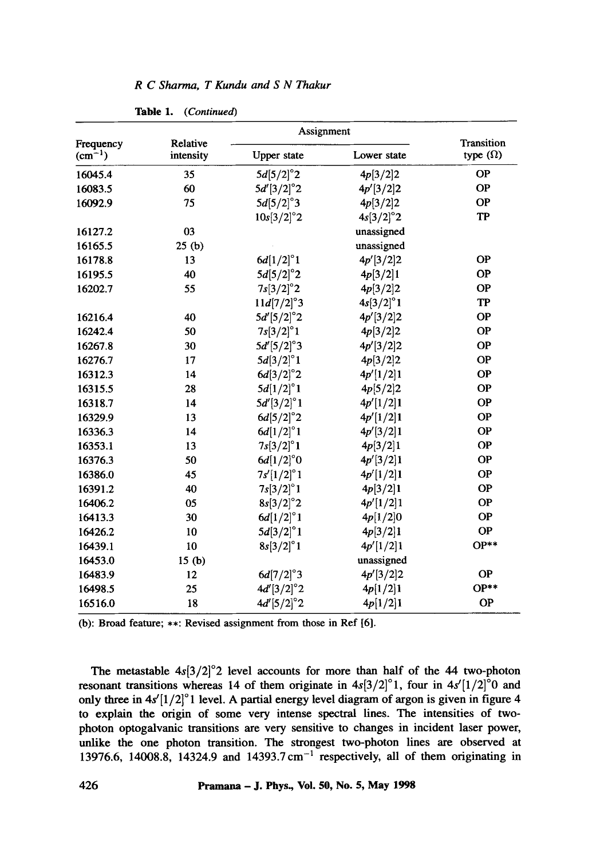|                          | Relative<br>intensity | Assignment          |                    |                                      |
|--------------------------|-----------------------|---------------------|--------------------|--------------------------------------|
| Frequency<br>$(cm^{-1})$ |                       | <b>Upper</b> state  | Lower state        | <b>Transition</b><br>type $(\Omega)$ |
| 16045.4                  | 35                    | $5d[5/2]^{\circ}2$  | 4p[3/2]2           | <b>OP</b>                            |
| 16083.5                  | 60                    | $5d'[3/2]^{\circ}2$ | 4p'[3/2]2          | <b>OP</b>                            |
| 16092.9                  | 75                    | $5d[5/2]^{\circ}3$  | 4p[3/2]2           | <b>OP</b>                            |
|                          |                       | $10s[3/2]^{\circ}2$ | $4s[3/2]^{\circ}2$ | <b>TP</b>                            |
| 16127.2                  | 03                    |                     | unassigned         |                                      |
| 16165.5                  | 25(b)                 |                     | unassigned         |                                      |
| 16178.8                  | 13                    | $6d[1/2]^{\circ}1$  | 4p'[3/2]2          | <b>OP</b>                            |
| 16195.5                  | 40                    | $5d[5/2]^{\circ}2$  | 4p[3/2]1           | <b>OP</b>                            |
| 16202.7                  | 55                    | $7s[3/2]^{\circ}2$  | 4p[3/2]2           | <b>OP</b>                            |
|                          |                       | 11d[7/2]°3          | $4s[3/2]^{\circ}1$ | <b>TP</b>                            |
| 16216.4                  | 40                    | $5d'[5/2]^{\circ}2$ | 4p'[3/2]2          | <b>OP</b>                            |
| 16242.4                  | 50                    | $7s[3/2]^{\circ}1$  | 4p[3/2]2           | <b>OP</b>                            |
| 16267.8                  | 30                    | $5d'[5/2]^{\circ}3$ | 4p'[3/2]2          | <b>OP</b>                            |
| 16276.7                  | 17                    | $5d[3/2]^{\circ}1$  | 4p[3/2]2           | <b>OP</b>                            |
| 16312.3                  | 14                    | $6d[3/2]^{\circ}2$  | 4p'[1/2]1          | <b>OP</b>                            |
| 16315.5                  | 28                    | $5d[1/2]^{\circ}1$  | 4p[5/2]2           | <b>OP</b>                            |
| 16318.7                  | 14                    | 5d'[3/2]°1          | 4p'[1/2]1          | <b>OP</b>                            |
| 16329.9                  | 13                    | $6d[5/2]^{\circ}2$  | 4p'[1/2]1          | <b>OP</b>                            |
| 16336.3                  | 14                    | $6d[1/2]^{\circ}1$  | 4p'[3/2]1          | <b>OP</b>                            |
| 16353.1                  | 13                    | $7s[3/2]^{\circ}1$  | 4p[3/2]1           | <b>OP</b>                            |
| 16376.3                  | 50                    | $6d[1/2]^{\circ}0$  | 4p'[3/2]1          | <b>OP</b>                            |
| 16386.0                  | 45                    | $7s'[1/2]^{\circ}1$ | 4p'[1/2]1          | <b>OP</b>                            |
| 16391.2                  | 40                    | $7s[3/2]^{\circ}1$  | 4p[3/2]1           | <b>OP</b>                            |
| 16406.2                  | 05                    | $8s[3/2]^{\circ}2$  | 4p'[1/2]1          | <b>OP</b>                            |
| 16413.3                  | 30                    | 6d[1/2]°1           | 4p[1/2]0           | <b>OP</b>                            |
| 16426.2                  | 10                    | $5d[3/2]^{\circ}1$  | 4p[3/2]1           | <b>OP</b>                            |
| 16439.1                  | 10                    | $8s[3/2]^{\circ}1$  | 4p'[1/2]1          | $OP**$                               |
| 16453.0                  | 15(b)                 |                     | unassigned         |                                      |
| 16483.9                  | 12                    | $6d[7/2]^{\circ}3$  | 4p'[3/2]2          | <b>OP</b>                            |
| 16498.5                  | 25                    | $4d'[3/2]^{\circ}2$ | 4p[1/2]1           | $OP**$                               |
| 16516.0                  | 18                    | $4d'[5/2]^{\circ}2$ | 4p[1/2]1           | <b>OP</b>                            |

*R C Sharma, T Kundu and S N Thakur* 

**Table** 1. *(Continued)* 

(b): Broad feature; \*\*: Revised assignment from those in Ref [6].

The metastable  $4s[3/2]^{\circ}2$  level accounts for more than half of the 44 two-photon resonant transitions whereas 14 of them originate in  $4s[3/2]^{\circ}$ 1, four in  $4s'[1/2]^{\circ}$ 0 and only three in  $4s'[1/2]^{\circ}$  1 level. A partial energy level diagram of argon is given in figure 4 to explain the origin of some very intense spectral lines. The intensities of twophoton optogalvanic transitions are very sensitive to changes in incident laser power, unlike the one photon transition. The strongest two-photon lines are observed at 13976.6, 14008.8, 14324.9 and 14393.7 cm<sup>-1</sup> respectively, all of them originating in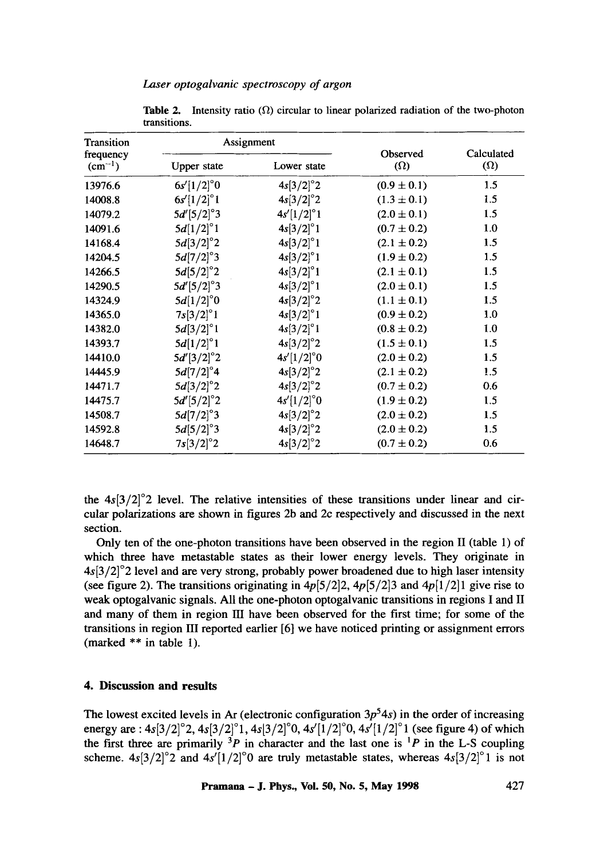| Transition<br>frequency<br>$(cm^{-1})$ | Assignment          |                     |                        | Calculated |
|----------------------------------------|---------------------|---------------------|------------------------|------------|
|                                        | Upper state         | Lower state         | Observed<br>$(\Omega)$ |            |
| 13976.6                                | $6s'[1/2]^{\circ}0$ | $4s[3/2]^{\circ}2$  | $(0.9 \pm 0.1)$        | 1.5        |
| 14008.8                                | $6s'[1/2]^{\circ}1$ | $4s[3/2]^{\circ}2$  | $(1.3 \pm 0.1)$        | 1.5        |
| 14079.2                                | $5d'[5/2]^{\circ}3$ | $4s'[1/2]^{\circ}1$ | $(2.0 \pm 0.1)$        | 1.5        |
| 14091.6                                | $5d[1/2]^{\circ}1$  | $4s[3/2]^{\circ}1$  | $(0.7 \pm 0.2)$        | 1.0        |
| 14168.4                                | $5d[3/2]^{\circ}2$  | $4s[3/2]^{\circ}1$  | $(2.1 \pm 0.2)$        | 1.5        |
| 14204.5                                | $5d[7/2]^{\circ}3$  | $4s[3/2]^{\circ}1$  | $(1.9 \pm 0.2)$        | 1.5        |
| 14266.5                                | $5d[5/2]^{\circ}2$  | $4s[3/2]^{\circ}1$  | $(2.1 \pm 0.1)$        | 1.5        |
| 14290.5                                | $5d'[5/2]^{\circ}3$ | $4s[3/2]^{\circ}1$  | $(2.0 \pm 0.1)$        | 1.5        |
| 14324.9                                | $5d[1/2]^{\circ}0$  | $4s[3/2]^{\circ}2$  | $(1.1 \pm 0.1)$        | 1.5        |
| 14365.0                                | $7s[3/2]^{\circ}1$  | $4s[3/2]^{\circ}1$  | $(0.9 \pm 0.2)$        | 1.0        |
| 14382.0                                | 5d[3/2]°1           | 4s[3/2]°1           | $(0.8 \pm 0.2)$        | 1.0        |
| 14393.7                                | $5d[1/2]^{\circ}1$  | $4s[3/2]^{\circ}2$  | $(1.5 \pm 0.1)$        | 1.5        |
| 14410.0                                | $5d'[3/2]^{\circ}2$ | $4s'[1/2]^{\circ}0$ | $(2.0 \pm 0.2)$        | 1.5        |
| 14445.9                                | $5d[7/2]^{\circ}4$  | $4s[3/2]^{\circ}2$  | $(2.1 \pm 0.2)$        | 1.5        |
| 14471.7                                | $5d[3/2]^{\circ}2$  | $4s[3/2]^{\circ}2$  | $(0.7 \pm 0.2)$        | 0.6        |
| 14475.7                                | $5d'[5/2]^{\circ}2$ | $4s'[1/2]^{\circ}0$ | $(1.9 \pm 0.2)$        | 1.5        |
| 14508.7                                | $5d[7/2]^{\circ}3$  | $4s[3/2]^{\circ}2$  | $(2.0 \pm 0.2)$        | 1.5        |
| 14592.8                                | $5d[5/2]^{\circ}3$  | $4s[3/2]^{\circ}2$  | $(2.0 \pm 0.2)$        | 1.5        |
| 14648.7                                | $7s[3/2]^{\circ}2$  | $4s[3/2]^{\circ}2$  | $(0.7 \pm 0.2)$        | 0.6        |

**Table 2.** Intensity ratio  $(\Omega)$  circular to linear polarized radiation of the two-photon transitions.

the  $4s[3/2]^{\circ}$  level. The relative intensities of these transitions under linear and circular polarizations are shown in figures 2b and 2c respectively and discussed in the next section.

Only ten of the one-photon transitions have been observed in the region II (table 1) of which three have metastable states as their lower energy levels. They originate in  $4s[3/2]^{\circ}$  level and are very strong, probably power broadened due to high laser intensity (see figure 2). The transitions originating in  $4p[5/2]$ ,  $4p[5/2]$  and  $4p[1/2]$  give rise to weak optogalvanic signals. All the one-photon optogalvanic transitions in regions I and II and many of them in region III have been observed for the first time; for some of the transitions in region HI reported earlier [6] we have noticed printing or assignment errors (marked \*\* in table 1).

## **4. Discussion and results**

The lowest excited levels in Ar (electronic configuration  $3p^54s$ ) in the order of increasing energy are :  $4s[3/2]^{\circ}$ 2,  $4s[3/2]^{\circ}$ 1,  $4s[3/2]^{\circ}$ 0,  $4s'[1/2]^{\circ}$ 0,  $4s'[1/2]^{\circ}$ 1 (see figure 4) of which the first three are primarily  $3P$  in character and the last one is  $P$  in the L-S coupling scheme.  $4s[3/2]^{\circ}$ 2 and  $4s'[1/2]^{\circ}$ 0 are truly metastable states, whereas  $4s[3/2]^{\circ}$ 1 is not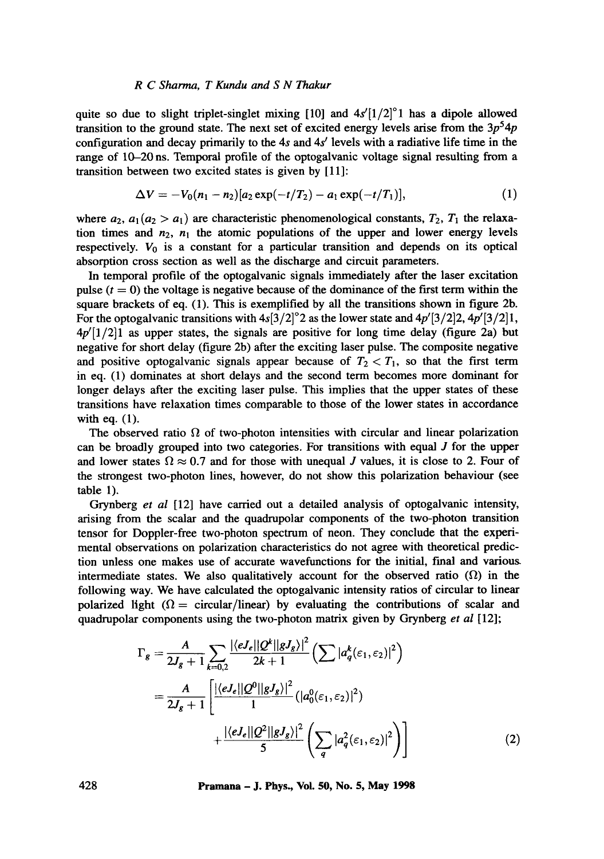#### *R C Sharma, T Kundu and S N Thakur*

quite so due to slight triplet-singlet mixing [10] and  $4s'[1/2]^{\circ}1$  has a dipole allowed transition to the ground state. The next set of excited energy levels arise from the  $3p<sup>5</sup>4p$ configuration and decay primarily to the 4s and  $4s'$  levels with a radiative life time in the range of 10-20 ns. Temporal profile of the optogalvanic voltage signal resulting from a transition between two excited states is given by [11]:

$$
\Delta V = -V_0(n_1 - n_2)[a_2 \exp(-t/T_2) - a_1 \exp(-t/T_1)], \qquad (1)
$$

where  $a_2$ ,  $a_1 (a_2 > a_1)$  are characteristic phenomenological constants,  $T_2$ ,  $T_1$  the relaxation times and  $n_2$ ,  $n_1$  the atomic populations of the upper and lower energy levels respectively.  $V_0$  is a constant for a particular transition and depends on its optical absorption cross section as well as the discharge and circuit parameters.

In temporal profile of the optogalvanic signals immediately after the laser excitation pulse  $(t = 0)$  the voltage is negative because of the dominance of the first term within the square brackets of eq. (1). This is exemplified by all the transitions shown in figure 2b. For the optogalvanic transitions with  $4s[3/2]^{\circ}2$  as the lower state and  $4p'[3/2]2, 4p'[3/2]1,$  $4p^{\prime}[1/2]$  as upper states, the signals are positive for long time delay (figure 2a) but negative for short delay (figure 2b) after the exciting laser pulse. The composite negative and positive optogalvanic signals appear because of  $T_2 < T_1$ , so that the first term in eq. (1) dominates at short delays and the second term becomes more dominant for longer delays after the exciting laser pulse. This implies that the upper states of these transitions have relaxation times comparable to those of the lower states in accordance with eq. (1).

The observed ratio  $\Omega$  of two-photon intensities with circular and linear polarization can be broadly grouped into two categories. For transitions with equal  $J$  for the upper and lower states  $\Omega \approx 0.7$  and for those with unequal J values, it is close to 2. Four of the strongest two-photon lines, however, do not show this polarization behaviour (see table 1).

Grynberg *et al* [12] have carried out a detailed analysis of optogalvanic intensity, arising from the scalar and the quadrupolar components of the two-photon transition tensor for Doppler-free two-photon spectrum of neon. They conclude that the experimental observations on polarization characteristics do not agree with theoretical prediction unless one makes use of accurate wavefunctions for the initial, final and varioug intermediate states. We also qualitatively account for the observed ratio  $(\Omega)$  in the following way. We have calculated the optogalvanic intensity ratios of circular to linear polarized light ( $\Omega$  = circular/linear) by evaluating the contributions of scalar and quadrupolar components using the two-photon matrix given by Grynberg *et al* [12];

$$
\Gamma_{g} = \frac{A}{2J_{g} + 1} \sum_{k=0,2} \frac{|\langle eJ_{e}||Q^{k}||gJ_{g}\rangle|^{2}}{2k+1} \left(\sum |a_{q}^{k}(\varepsilon_{1}, \varepsilon_{2})|^{2}\right)
$$

$$
= \frac{A}{2J_{g} + 1} \left[\frac{|\langle eJ_{e}||Q^{0}||gJ_{g}\rangle|^{2}}{1} (|a_{0}^{0}(\varepsilon_{1}, \varepsilon_{2})|^{2}) + \frac{|\langle eJ_{e}||Q^{2}||gJ_{g}\rangle|^{2}}{5} \left(\sum_{q} |a_{q}^{2}(\varepsilon_{1}, \varepsilon_{2})|^{2}\right)\right]
$$
(2)

**428 Pramana - J. Phys., Vol. 50, No. 5, May 1998**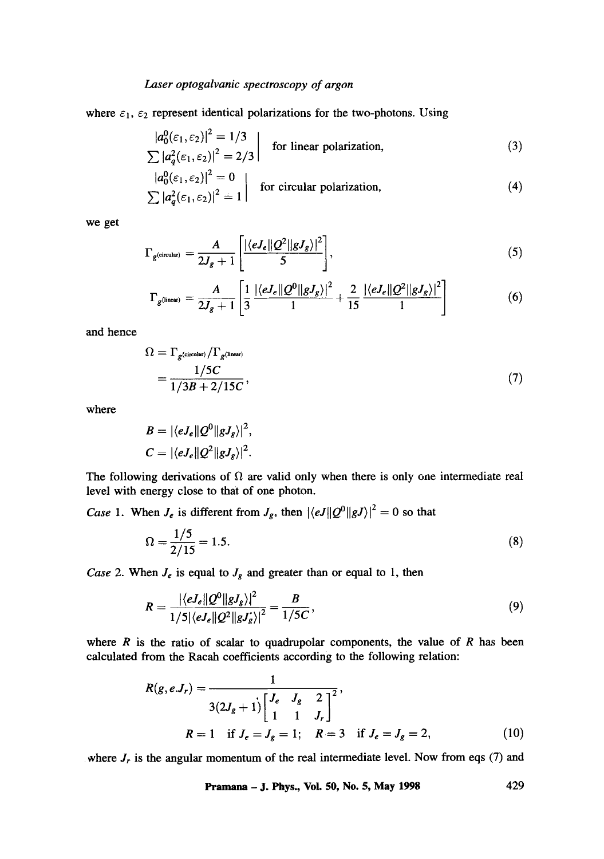## *Laser optogalvanic spectroscopy of argon*

where  $\varepsilon_1$ ,  $\varepsilon_2$  represent identical polarizations for the two-photons. Using

$$
\left| a_0^0(\varepsilon_1, \varepsilon_2) \right|^2 = 1/3
$$
  
\n
$$
\sum |a_q^2(\varepsilon_1, \varepsilon_2)|^2 = 2/3
$$
 for linear polarization, (3)

$$
\begin{vmatrix} a_0^0(\varepsilon_1, \varepsilon_2) \end{vmatrix}^2 = 0
$$
 for circular polarization, (4)

we get

$$
\Gamma_{g(\text{circular})} = \frac{A}{2J_g + 1} \left[ \frac{|\langle eJ_e || Q^2 || gJ_g \rangle|^2}{5} \right],\tag{5}
$$

$$
\Gamma_{g^{(linear)}} = \frac{A}{2J_g + 1} \left[ \frac{1}{3} \frac{|\langle eJ_e || Q^0 || gJ_g \rangle|^2}{1} + \frac{2}{15} \frac{|\langle eJ_e || Q^2 || gJ_g \rangle|^2}{1} \right] \tag{6}
$$

and hence

$$
\Omega = \Gamma_{g^{\text{(circular)}}}/\Gamma_{g^{\text{(linear)}}}
$$
  
= 
$$
\frac{1/5C}{1/3B + 2/15C},
$$
 (7)

where

$$
B = |\langle eJ_e || Q^0 || gJ_g \rangle|^2,
$$
  

$$
C = |\langle eJ_e || Q^2 || gJ_g \rangle|^2.
$$

The following derivations of  $\Omega$  are valid only when there is only one intermediate real level with energy close to that of one photon.

*Case 1.* When  $J_e$  is different from  $J_g$ , then  $|\langle eJ||Q^0||gJ\rangle|^2 = 0$  so that

$$
\Omega = \frac{1/5}{2/15} = 1.5. \tag{8}
$$

*Case* 2. When  $J_e$  is equal to  $J_g$  and greater than or equal to 1, then

$$
R = \frac{|\langle eJ_e || Q^0 || gJ_g \rangle|^2}{1/5 |\langle eJ_e || Q^2 || gJ_g' \rangle|^2} = \frac{B}{1/5C},\tag{9}
$$

where  $R$  is the ratio of scalar to quadrupolar components, the value of  $R$  has been calculated from the Racah coefficients according to the following relation:

$$
R(g, e.J_r) = \frac{1}{3(2J_g + 1)\left[\begin{array}{cc} J_e & J_g & 2\\ 1 & 1 & J_r \end{array}\right]^2},
$$
  
R = 1 if  $J_e = J_g = 1$ ;  $R = 3$  if  $J_e = J_g = 2$ , (10)

where  $J_r$  is the angular momentum of the real intermediate level. Now from eqs (7) and

**Pramana - J. Phys., Vol. 50, No. 5, May 1998** 429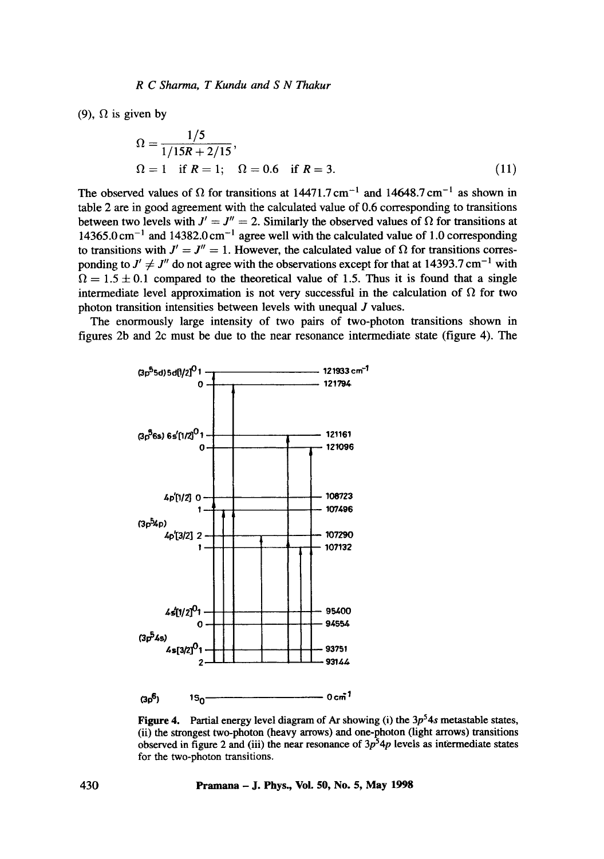(9),  $\Omega$  is given by

$$
\Omega = \frac{1/5}{1/15R + 2/15},
$$
  
\n
$$
\Omega = 1 \text{ if } R = 1; \quad \Omega = 0.6 \text{ if } R = 3.
$$
 (11)

The observed values of  $\Omega$  for transitions at 14471.7 cm<sup>-1</sup> and 14648.7 cm<sup>-1</sup> as shown in table 2 are in good agreement with the calculated value of 0.6 corresponding to transitions between two levels with  $J' = J'' = 2$ . Similarly the observed values of  $\Omega$  for transitions at  $14365.0 \text{ cm}^{-1}$  and  $14382.0 \text{ cm}^{-1}$  agree well with the calculated value of 1.0 corresponding to transitions with  $J' = J'' = 1$ . However, the calculated value of  $\Omega$  for transitions corresponding to  $J' \neq J''$  do not agree with the observations except for that at 14393.7 cm<sup>-1</sup> with  $\Omega = 1.5 \pm 0.1$  compared to the theoretical value of 1.5. Thus it is found that a single intermediate level approximation is not very successful in the calculation of  $\Omega$  for two photon transition intensities between levels with unequal J values.

The enormously large intensity of two pairs of two-photon transitions shown in figures 2b and 2c must be due to the near resonance intermediate state (figure 4). The



Figure 4. Partial energy level diagram of Ar showing (i) the  $3p<sup>5</sup>4s$  metastable states, (ii) the strongest two-photon (heavy arrows) and one-photon (light arrows) transitions observed in figure 2 and (iii) the near resonance of  $3p^54p$  levels as intermediate states for the two-photon transitions.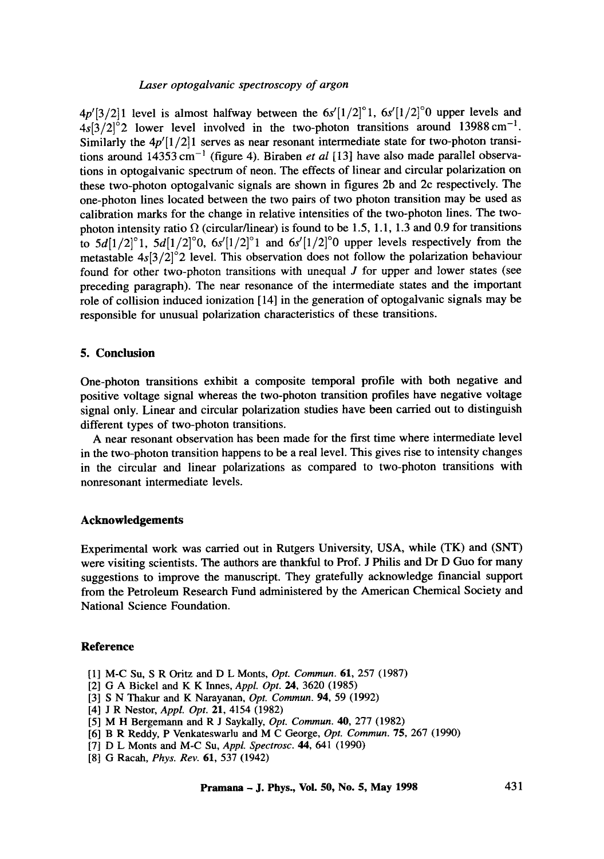## *Laser optogalvanic spectroscopy of argon*

 $4p'[3/2]1$  level is almost halfway between the  $6s'[1/2]^\circ 1$ ,  $6s'[1/2]^\circ 0$  upper levels and  $4s[3/2]^{\circ}$  lower level involved in the two-photon transitions around 13988 cm<sup>-1</sup>. Similarly the  $4p'(1/2)1$  serves as near resonant intermediate state for two-photon transitions around  $14353 \text{ cm}^{-1}$  (figure 4). Biraben *et al* [13] have also made parallel observations in optogalvanic spectrum of neon. The effects of linear and circular polarization on these two-photon optogalvanic signals are shown in figures 2b and 2c respectively. The one-photon lines located between the two pairs of two photon transition may be used as calibration marks for the change in relative intensities of the two-photon lines. The twophoton intensity ratio  $\Omega$  (circular/linear) is found to be 1.5, 1.1, 1.3 and 0.9 for transitions to  $5d[1/2]^{\circ}1$ ,  $5d[1/2]^{\circ}0$ ,  $6s'[1/2]^{\circ}1$  and  $6s'[1/2]^{\circ}0$  upper levels respectively from the metastable  $4s[3/2]^{\circ}$  level. This observation does not follow the polarization behaviour found for other two-photon transitions with unequal  $J$  for upper and lower states (see preceding paragraph). The near resonance of the intermediate states and the important role of collision induced ionization [14] in the generation of optogalvanic signals may be responsible for unusual polarization characteristics of these transitions.

## **5. Conclusion**

One-photon transitions exhibit a composite temporal profile with both negative and positive voltage signal whereas the two-photon transition profiles have negative voltage signal only. Linear and circular polarization studies have been carried out to distinguish different types of two-photon transitions.

A near resonant observation has been made for the first time where intermediate level in the two-photon transition happens to be a real level. This gives rise to intensity changes in the circular and linear polarizations as compared to two-photon transitions with nonresonant intermediate levels.

## **Acknowledgements**

Experimental work was carried out in Rutgers University, USA, while (TK) and (SNT) were visiting scientists. The authors are thankful to Prof. J Philis and Dr D Guo for many suggestions to improve the manuscript. They gratefully acknowledge financial support from the Petroleum Research Fund administered by the American Chemical Society and National Science Foundation.

## **Reference**

- [1] M-C Su, S R Oritz and D L Monts, *Opt. Commun.* 61, 257 (1987)
- [2] G A Bickel and K K Innes, *Appl. Opt. 24,* 3620 (1985)
- [3] S N Thakur and K Narayanan, *Opt. Commun.* 94, 59 (1992)
- [4] J R Nestor, *Appl. Opt.* 21, 4154 (1982)
- [5] M H Bergemann and R J Saykally, *Opt. Commun.* 40, 277 (1982)
- [6] B R Reddy, P Venkateswarlu and M C George, *Opt. Commun.* 75, 267 (1990)
- [7] D L Monts and M-C Su, *Appl. Spectrosc.* 44, 641 (1990)
- [8] G Racah, *Phys. Rev.* 61, 537 (1942)